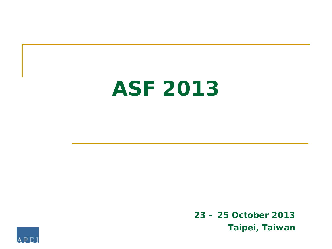# **ASF 2013**

**23 – 25 October 2013 Taipei, Taiwan**

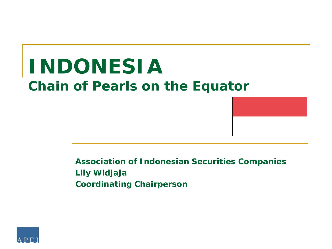# **INDONESIA Chain of Pearls on the Equator**



**Association of Indonesian Securities Companies Lily Widjaja Coordinating Chairperson**

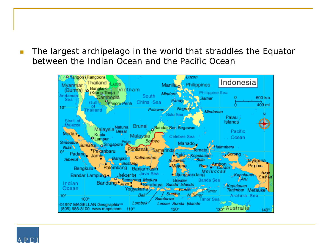**The largest archipelago in the world that straddles the Equator** between the Indian Ocean and the Pacific Ocean



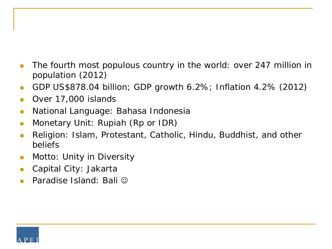- The fourth most populous country in the world: over 247 million in population (2012)
- GDP US\$878.04 billion; GDP growth 6.2%; Inflation 4.2% (2012)
- Over 17,000 islands
- National Language: Bahasa Indonesia
- **Nonetary Unit: Rupiah (Rp or IDR)**
- **Religion: Islam, Protestant, Catholic, Hindu, Buddhist, and other** beliefs
- **Notto: Unity in Diversity**
- Capital City: Jakarta
- Paradise Island: Bali ©

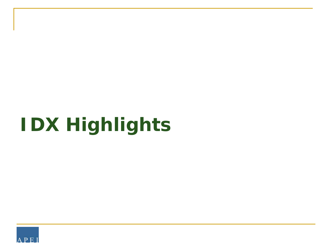# **IDX Highlights**

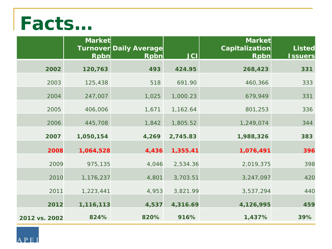# **Facts…**

|               | <b>Market</b><br><b>Rpbn</b> | <b>Turnover Daily Average</b><br><b>Rpbn</b> | <b>JCI</b> | <b>Market</b><br>Capitalization<br><b>Rpbn</b> | <b>Listed</b><br><u><b>Issuers</b></u> |
|---------------|------------------------------|----------------------------------------------|------------|------------------------------------------------|----------------------------------------|
| 2002          | 120,763                      | 493                                          | 424.95     | 268,423                                        | 331                                    |
| 2003          | 125,438                      | 518                                          | 691.90     | 460,366                                        | 333                                    |
| 2004          | 247,007                      | 1,025                                        | 1,000.23   | 679,949                                        | 331                                    |
| 2005          | 406,006                      | 1,671                                        | 1,162.64   | 801,253                                        | 336                                    |
| 2006          | 445,708                      | 1,842                                        | 1,805.52   | 1,249,074                                      | 344                                    |
| 2007          | 1,050,154                    | 4,269                                        | 2,745.83   | 1,988,326                                      | 383                                    |
| 2008          | 1,064,528                    | 4,436                                        | 1,355.41   | 1,076,491                                      | 396                                    |
| 2009          | 975,135                      | 4,046                                        | 2,534.36   | 2,019,375                                      | 398                                    |
| 2010          | 1,176,237                    | 4,801                                        | 3,703.51   | 3,247,097                                      | 420                                    |
| 2011          | 1,223,441                    | 4,953                                        | 3,821.99   | 3,537,294                                      | 440                                    |
| 2012          | 1,116,113                    | 4,537                                        | 4,316.69   | 4,126,995                                      | 459                                    |
| 2012 vs. 2002 | 824%                         | 820%                                         | 916%       | 1,437%                                         | 39%                                    |

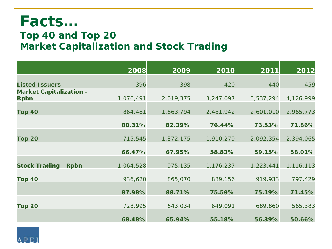### **Facts…**

### **Top 40 and Top 20 Market Capitalization and Stock Trading**

|                                               | 2008      | 2009      | 2010      | 2011      | 2012      |
|-----------------------------------------------|-----------|-----------|-----------|-----------|-----------|
| <b>Listed Issuers</b>                         | 396       | 398       | 420       | 440       | 459       |
| <b>Market Capitalization -</b><br><b>Rpbn</b> | 1,076,491 | 2,019,375 | 3,247,097 | 3,537,294 | 4,126,999 |
| <b>Top 40</b>                                 | 864,481   | 1,663,794 | 2,481,942 | 2,601,010 | 2,965,773 |
|                                               | 80.31%    | 82.39%    | 76.44%    | 73.53%    | 71.86%    |
| <b>Top 20</b>                                 | 715,545   | 1,372,175 | 1,910,279 | 2,092,354 | 2,394,065 |
|                                               | 66.47%    | 67.95%    | 58.83%    | 59.15%    | 58.01%    |
| <b>Stock Trading - Rpbn</b>                   | 1,064,528 | 975,135   | 1,176,237 | 1,223,441 | 1,116,113 |
| Top 40                                        | 936,620   | 865,070   | 889,156   | 919,933   | 797,429   |
|                                               | 87.98%    | 88.71%    | 75.59%    | 75.19%    | 71.45%    |
| <b>Top 20</b>                                 | 728,995   | 643,034   | 649,091   | 689,860   | 565,383   |
|                                               | 68.48%    | 65.94%    | 55.18%    | 56.39%    | 50.66%    |

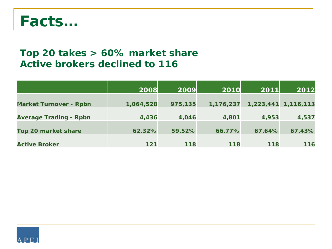

### **Top 20 takes > 60% market share Active brokers declined to 116**

|                               | 2008      | 2009    | 2010      | 2011   | 2012                |
|-------------------------------|-----------|---------|-----------|--------|---------------------|
| <b>Market Turnover - Rpbn</b> | 1,064,528 | 975,135 | 1,176,237 |        | 1,223,441 1,116,113 |
| <b>Average Trading - Rpbn</b> | 4,436     | 4,046   | 4,801     | 4,953  | 4,537               |
| <b>Top 20 market share</b>    | 62.32%    | 59.52%  | 66.77%    | 67.64% | 67.43%              |
| <b>Active Broker</b>          | $121$     | 118     | 118       | 118    | 116                 |

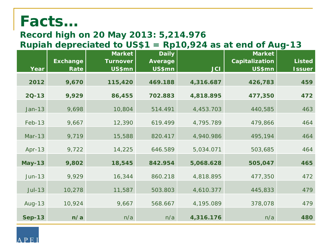## **Facts…**

### **Record high on 20 May 2013: 5,214.976**

### **Rupiah depreciated to US\$1 = Rp10,924 as at end of Aug-13**

| Year          | <b>Exchange</b><br>Rate | <b>Market</b><br><b>Turnover</b><br>US\$mn | <b>Daily</b><br><b>Average</b><br>US\$mn | <b>JCI</b> | <b>Market</b><br><b>Capitalization</b><br>US\$mn | <b>Listed</b><br><b>Issuer</b> |
|---------------|-------------------------|--------------------------------------------|------------------------------------------|------------|--------------------------------------------------|--------------------------------|
|               |                         |                                            |                                          |            |                                                  |                                |
| 2012          | 9,670                   | 115,420                                    | 469.188                                  | 4,316.687  | 426,783                                          | 459                            |
| $2Q-13$       | 9,929                   | 86,455                                     | 702.883                                  | 4,818.895  | 477,350                                          | 472                            |
| $Jan-13$      | 9,698                   | 10,804                                     | 514.491                                  | 4,453.703  | 440,585                                          | 463                            |
| $Feb-13$      | 9,667                   | 12,390                                     | 619.499                                  | 4,795.789  | 479,866                                          | 464                            |
| $Mar-13$      | 9,719                   | 15,588                                     | 820.417                                  | 4,940.986  | 495,194                                          | 464                            |
| $Apr-13$      | 9,722                   | 14,225                                     | 646.589                                  | 5,034.071  | 503,685                                          | 464                            |
| <b>May-13</b> | 9,802                   | 18,545                                     | 842.954                                  | 5,068.628  | 505,047                                          | 465                            |
| $Jun-13$      | 9,929                   | 16,344                                     | 860.218                                  | 4,818.895  | 477,350                                          | 472                            |
| $J$ ul-13     | 10,278                  | 11,587                                     | 503.803                                  | 4,610.377  | 445,833                                          | 479                            |
| $Aug-13$      | 10,924                  | 9,667                                      | 568.667                                  | 4,195.089  | 378,078                                          | 479                            |
| <b>Sep-13</b> | n/a                     | n/a                                        | n/a                                      | 4,316.176  | n/a                                              | 480                            |

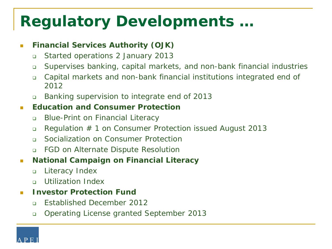## **Regulatory Developments …**

#### **Financial Services Authority (OJK)**

- Started operations 2 January 2013
- Supervises banking, capital markets, and non-bank financial industries
- Capital markets and non-bank financial institutions integrated end of 2012
- Banking supervision to integrate end of 2013

#### **Education and Consumer Protection**

- Blue-Print on Financial Literacy
- Regulation # 1 on Consumer Protection issued August 2013
- n Socialization on Consumer Protection
- FGD on Alternate Dispute Resolution
- **National Campaign on Financial Literacy** 
	- Literacy Index
	- Utilization Index

#### **Investor Protection Fund**

- **Established December 2012**
- Operating License granted September 2013

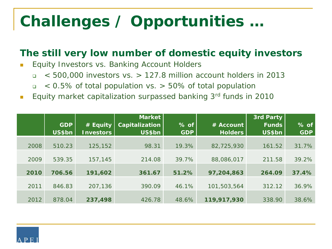# **Challenges / Opportunities …**

### **The still very low number of domestic equity investors**

- **Equity Investors vs. Banking Account Holders** 
	- $\sqrt{500}$ ,000 investors vs. > 127.8 million account holders in 2013
	- $\sqrt{2}$  < 0.5% of total population vs. > 50% of total population
- **Equity market capitalization surpassed banking 3rd funds in 2010**

|      |            |                  | Market         |            |                | 3rd Party    |            |
|------|------------|------------------|----------------|------------|----------------|--------------|------------|
|      | <b>GDP</b> | # Equity         | Capitalization | $%$ of     | # Account      | <b>Funds</b> | % of       |
|      | US\$bn     | <b>Investors</b> | US\$bn         | <b>GDP</b> | <b>Holders</b> | US\$bn       | <b>GDP</b> |
|      |            |                  |                |            |                |              |            |
| 2008 | 510.23     | 125,152          | 98.31          | 19.3%      | 82,725,930     | 161.52       | 31.7%      |
|      |            |                  |                |            |                |              |            |
| 2009 | 539.35     | 157,145          | 214.08         | 39.7%      | 88,086,017     | 211.58       | 39.2%      |
|      |            |                  |                |            |                |              |            |
| 2010 | 706.56     | 191,602          | 361.67         | 51.2%      | 97,204,863     | 264.09       | 37.4%      |
|      |            |                  |                |            |                |              |            |
| 2011 | 846.83     | 207,136          | 390.09         | 46.1%      | 101,503,564    | 312.12       | 36.9%      |
|      |            |                  |                |            |                |              |            |
| 2012 | 878.04     | 237,498          | 426.78         | 48.6%      | 119,917,930    | 338.90       | 38.6%      |

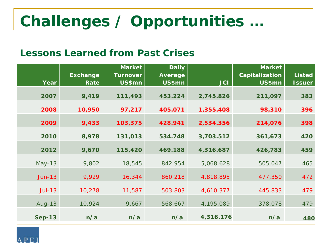# **Challenges / Opportunities …**

### **Lessons Learned from Past Crises**

|               |                 | <b>Market</b>   | <b>Daily</b> |            | <b>Market</b>  |               |
|---------------|-----------------|-----------------|--------------|------------|----------------|---------------|
|               | <b>Exchange</b> | <b>Turnover</b> | Average      |            | Capitalization | <b>Listed</b> |
| Year          | Rate            | US\$mn          | US\$mn       | <b>JCI</b> | US\$mn         | <b>Issuer</b> |
| 2007          | 9,419           | 111,493         | 453.224      | 2,745.826  | 211,097        | 383           |
| 2008          | 10,950          | 97,217          | 405.071      | 1,355.408  | 98,310         | 396           |
| 2009          | 9,433           | 103,375         | 428.941      | 2,534.356  | 214,076        | 398           |
| 2010          | 8,978           | 131,013         | 534.748      | 3,703.512  | 361,673        | 420           |
| 2012          | 9,670           | 115,420         | 469.188      | 4,316.687  | 426,783        | 459           |
| $May-13$      | 9,802           | 18,545          | 842.954      | 5,068.628  | 505,047        | 465           |
| $Jun-13$      | 9,929           | 16,344          | 860.218      | 4,818.895  | 477,350        | 472           |
| $J$ ul-13     | 10,278          | 11,587          | 503.803      | 4,610.377  | 445,833        | 479           |
| $Aug-13$      | 10,924          | 9,667           | 568.667      | 4,195.089  | 378,078        | 479           |
| <b>Sep-13</b> | n/a             | n/a             | n/a          | 4,316.176  | n/a            | 480           |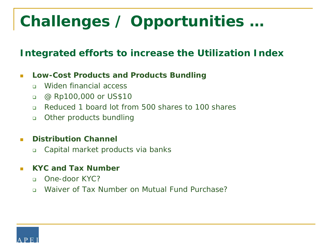# **Challenges / Opportunities …**

### **Integrated efforts to increase the Utilization Index**

#### **Low-Cost Products and Products Bundling**

- Widen financial access
- @ Rp100,000 or US\$10
- Reduced 1 board lot from 500 shares to 100 shares
- **Deta** Other products bundling

#### **Distribution Channel**

Capital market products via banks

#### **KYC and Tax Number**

- n One-door KYC?
- n Waiver of Tax Number on Mutual Fund Purchase?